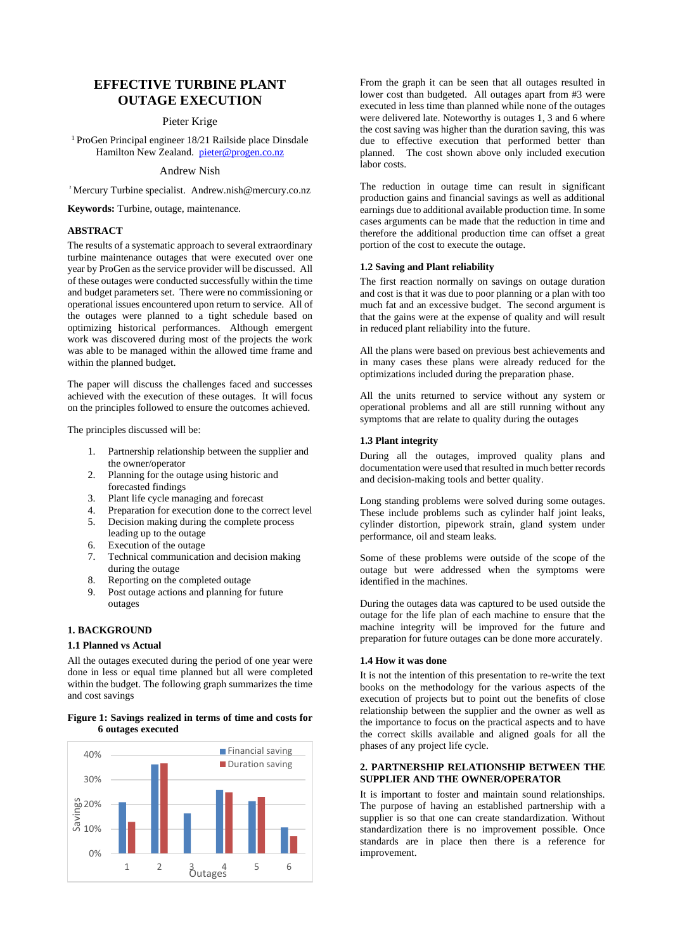# **EFFECTIVE TURBINE PLANT OUTAGE EXECUTION**

## Pieter Krige

<sup>1</sup> ProGen Principal engineer 18/21 Railside place Dinsdale Hamilton New Zealand. [pieter@progen.co.nz](mailto:pieter@progen.co.nz)

#### Andrew Nish

<sup>²</sup>Mercury Turbine specialist. Andrew.nish@mercury.co.nz

**Keywords:** Turbine, outage, maintenance*.*

#### **ABSTRACT**

The results of a systematic approach to several extraordinary turbine maintenance outages that were executed over one year by ProGen as the service provider will be discussed. All of these outages were conducted successfully within the time and budget parameters set. There were no commissioning or operational issues encountered upon return to service. All of the outages were planned to a tight schedule based on optimizing historical performances. Although emergent work was discovered during most of the projects the work was able to be managed within the allowed time frame and within the planned budget.

The paper will discuss the challenges faced and successes achieved with the execution of these outages. It will focus on the principles followed to ensure the outcomes achieved.

The principles discussed will be:

- 1. Partnership relationship between the supplier and the owner/operator
- 2. Planning for the outage using historic and forecasted findings
- 3. Plant life cycle managing and forecast
- 4. Preparation for execution done to the correct level
- 5. Decision making during the complete process leading up to the outage
- 6. Execution of the outage
- 7. Technical communication and decision making during the outage
- Reporting on the completed outage
- 9. Post outage actions and planning for future outages

## **1. BACKGROUND**

#### **1.1 Planned vs Actual**

All the outages executed during the period of one year were done in less or equal time planned but all were completed within the budget. The following graph summarizes the time and cost savings

#### **Figure 1: Savings realized in terms of time and costs for 6 outages executed**



From the graph it can be seen that all outages resulted in lower cost than budgeted. All outages apart from #3 were executed in less time than planned while none of the outages were delivered late. Noteworthy is outages 1, 3 and 6 where the cost saving was higher than the duration saving, this was due to effective execution that performed better than planned. The cost shown above only included execution labor costs.

The reduction in outage time can result in significant production gains and financial savings as well as additional earnings due to additional available production time. In some cases arguments can be made that the reduction in time and therefore the additional production time can offset a great portion of the cost to execute the outage.

#### **1.2 Saving and Plant reliability**

The first reaction normally on savings on outage duration and cost is that it was due to poor planning or a plan with too much fat and an excessive budget. The second argument is that the gains were at the expense of quality and will result in reduced plant reliability into the future.

All the plans were based on previous best achievements and in many cases these plans were already reduced for the optimizations included during the preparation phase.

All the units returned to service without any system or operational problems and all are still running without any symptoms that are relate to quality during the outages

## **1.3 Plant integrity**

During all the outages, improved quality plans and documentation were used that resulted in much better records and decision-making tools and better quality.

Long standing problems were solved during some outages. These include problems such as cylinder half joint leaks, cylinder distortion, pipework strain, gland system under performance, oil and steam leaks.

Some of these problems were outside of the scope of the outage but were addressed when the symptoms were identified in the machines.

During the outages data was captured to be used outside the outage for the life plan of each machine to ensure that the machine integrity will be improved for the future and preparation for future outages can be done more accurately.

#### **1.4 How it was done**

It is not the intention of this presentation to re-write the text books on the methodology for the various aspects of the execution of projects but to point out the benefits of close relationship between the supplier and the owner as well as the importance to focus on the practical aspects and to have the correct skills available and aligned goals for all the phases of any project life cycle.

#### **2. PARTNERSHIP RELATIONSHIP BETWEEN THE SUPPLIER AND THE OWNER/OPERATOR**

It is important to foster and maintain sound relationships. The purpose of having an established partnership with a supplier is so that one can create standardization. Without standardization there is no improvement possible. Once standards are in place then there is a reference for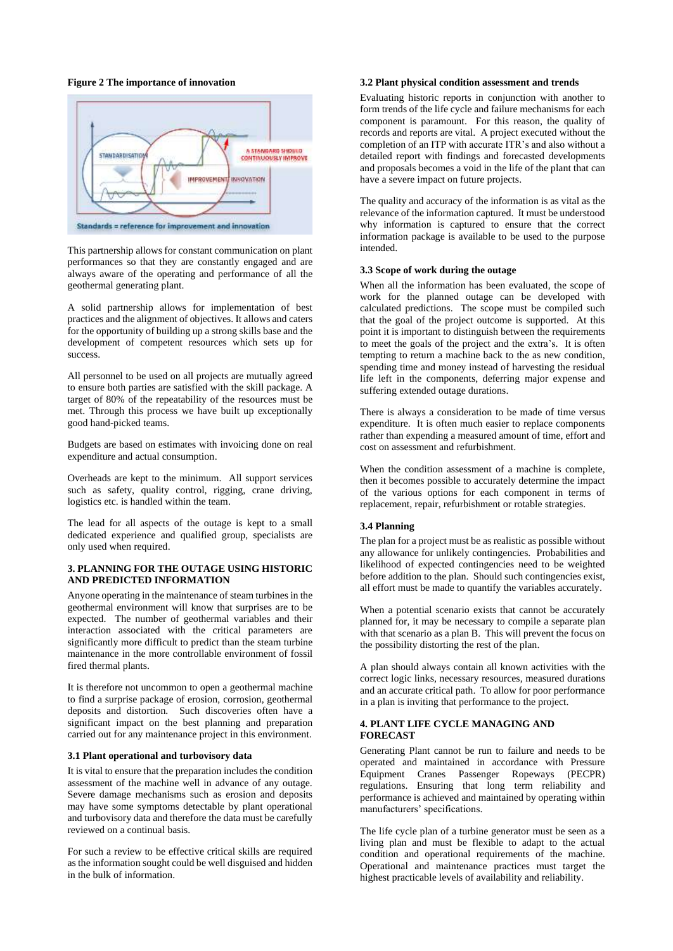## **Figure 2 The importance of innovation**



This partnership allows for constant communication on plant performances so that they are constantly engaged and are always aware of the operating and performance of all the geothermal generating plant.

A solid partnership allows for implementation of best practices and the alignment of objectives. It allows and caters for the opportunity of building up a strong skills base and the development of competent resources which sets up for success.

All personnel to be used on all projects are mutually agreed to ensure both parties are satisfied with the skill package. A target of 80% of the repeatability of the resources must be met. Through this process we have built up exceptionally good hand-picked teams.

Budgets are based on estimates with invoicing done on real expenditure and actual consumption.

Overheads are kept to the minimum. All support services such as safety, quality control, rigging, crane driving, logistics etc. is handled within the team.

The lead for all aspects of the outage is kept to a small dedicated experience and qualified group, specialists are only used when required.

#### **3. PLANNING FOR THE OUTAGE USING HISTORIC AND PREDICTED INFORMATION**

Anyone operating in the maintenance of steam turbines in the geothermal environment will know that surprises are to be expected. The number of geothermal variables and their interaction associated with the critical parameters are significantly more difficult to predict than the steam turbine maintenance in the more controllable environment of fossil fired thermal plants.

It is therefore not uncommon to open a geothermal machine to find a surprise package of erosion, corrosion, geothermal deposits and distortion. Such discoveries often have a significant impact on the best planning and preparation carried out for any maintenance project in this environment.

#### **3.1 Plant operational and turbovisory data**

It is vital to ensure that the preparation includes the condition assessment of the machine well in advance of any outage. Severe damage mechanisms such as erosion and deposits may have some symptoms detectable by plant operational and turbovisory data and therefore the data must be carefully reviewed on a continual basis.

For such a review to be effective critical skills are required as the information sought could be well disguised and hidden in the bulk of information.

#### **3.2 Plant physical condition assessment and trends**

Evaluating historic reports in conjunction with another to form trends of the life cycle and failure mechanisms for each component is paramount. For this reason, the quality of records and reports are vital. A project executed without the completion of an ITP with accurate ITR's and also without a detailed report with findings and forecasted developments and proposals becomes a void in the life of the plant that can have a severe impact on future projects.

The quality and accuracy of the information is as vital as the relevance of the information captured. It must be understood why information is captured to ensure that the correct information package is available to be used to the purpose intended.

### **3.3 Scope of work during the outage**

When all the information has been evaluated, the scope of work for the planned outage can be developed with calculated predictions. The scope must be compiled such that the goal of the project outcome is supported. At this point it is important to distinguish between the requirements to meet the goals of the project and the extra's. It is often tempting to return a machine back to the as new condition, spending time and money instead of harvesting the residual life left in the components, deferring major expense and suffering extended outage durations.

There is always a consideration to be made of time versus expenditure. It is often much easier to replace components rather than expending a measured amount of time, effort and cost on assessment and refurbishment.

When the condition assessment of a machine is complete, then it becomes possible to accurately determine the impact of the various options for each component in terms of replacement, repair, refurbishment or rotable strategies.

### **3.4 Planning**

The plan for a project must be as realistic as possible without any allowance for unlikely contingencies. Probabilities and likelihood of expected contingencies need to be weighted before addition to the plan. Should such contingencies exist, all effort must be made to quantify the variables accurately.

When a potential scenario exists that cannot be accurately planned for, it may be necessary to compile a separate plan with that scenario as a plan B. This will prevent the focus on the possibility distorting the rest of the plan.

A plan should always contain all known activities with the correct logic links, necessary resources, measured durations and an accurate critical path. To allow for poor performance in a plan is inviting that performance to the project.

## **4. PLANT LIFE CYCLE MANAGING AND FORECAST**

Generating Plant cannot be run to failure and needs to be operated and maintained in accordance with Pressure Equipment Cranes Passenger Ropeways (PECPR) regulations. Ensuring that long term reliability and performance is achieved and maintained by operating within manufacturers' specifications.

The life cycle plan of a turbine generator must be seen as a living plan and must be flexible to adapt to the actual condition and operational requirements of the machine. Operational and maintenance practices must target the highest practicable levels of availability and reliability.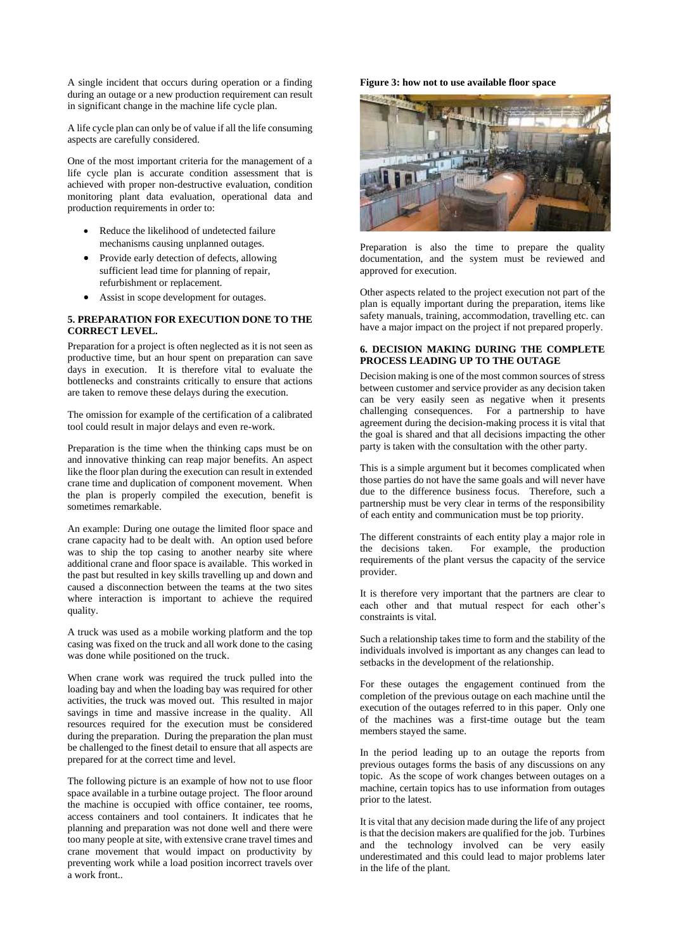A single incident that occurs during operation or a finding during an outage or a new production requirement can result in significant change in the machine life cycle plan.

A life cycle plan can only be of value if all the life consuming aspects are carefully considered.

One of the most important criteria for the management of a life cycle plan is accurate condition assessment that is achieved with proper non-destructive evaluation, condition monitoring plant data evaluation, operational data and production requirements in order to:

- Reduce the likelihood of undetected failure mechanisms causing unplanned outages.
- Provide early detection of defects, allowing sufficient lead time for planning of repair, refurbishment or replacement.
- Assist in scope development for outages.

## **5. PREPARATION FOR EXECUTION DONE TO THE CORRECT LEVEL.**

Preparation for a project is often neglected as it is not seen as productive time, but an hour spent on preparation can save days in execution. It is therefore vital to evaluate the bottlenecks and constraints critically to ensure that actions are taken to remove these delays during the execution.

The omission for example of the certification of a calibrated tool could result in major delays and even re-work.

Preparation is the time when the thinking caps must be on and innovative thinking can reap major benefits. An aspect like the floor plan during the execution can result in extended crane time and duplication of component movement. When the plan is properly compiled the execution, benefit is sometimes remarkable.

An example: During one outage the limited floor space and crane capacity had to be dealt with. An option used before was to ship the top casing to another nearby site where additional crane and floor space is available. This worked in the past but resulted in key skills travelling up and down and caused a disconnection between the teams at the two sites where interaction is important to achieve the required quality.

A truck was used as a mobile working platform and the top casing was fixed on the truck and all work done to the casing was done while positioned on the truck.

When crane work was required the truck pulled into the loading bay and when the loading bay was required for other activities, the truck was moved out. This resulted in major savings in time and massive increase in the quality. All resources required for the execution must be considered during the preparation. During the preparation the plan must be challenged to the finest detail to ensure that all aspects are prepared for at the correct time and level.

The following picture is an example of how not to use floor space available in a turbine outage project. The floor around the machine is occupied with office container, tee rooms, access containers and tool containers. It indicates that he planning and preparation was not done well and there were too many people at site, with extensive crane travel times and crane movement that would impact on productivity by preventing work while a load position incorrect travels over a work front..

## **Figure 3: how not to use available floor space**



Preparation is also the time to prepare the quality documentation, and the system must be reviewed and approved for execution.

Other aspects related to the project execution not part of the plan is equally important during the preparation, items like safety manuals, training, accommodation, travelling etc. can have a major impact on the project if not prepared properly.

#### **6. DECISION MAKING DURING THE COMPLETE PROCESS LEADING UP TO THE OUTAGE**

Decision making is one of the most common sources of stress between customer and service provider as any decision taken can be very easily seen as negative when it presents challenging consequences. For a partnership to have agreement during the decision-making process it is vital that the goal is shared and that all decisions impacting the other party is taken with the consultation with the other party.

This is a simple argument but it becomes complicated when those parties do not have the same goals and will never have due to the difference business focus. Therefore, such a partnership must be very clear in terms of the responsibility of each entity and communication must be top priority.

The different constraints of each entity play a major role in the decisions taken. For example, the production requirements of the plant versus the capacity of the service provider.

It is therefore very important that the partners are clear to each other and that mutual respect for each other's constraints is vital.

Such a relationship takes time to form and the stability of the individuals involved is important as any changes can lead to setbacks in the development of the relationship.

For these outages the engagement continued from the completion of the previous outage on each machine until the execution of the outages referred to in this paper. Only one of the machines was a first-time outage but the team members stayed the same.

In the period leading up to an outage the reports from previous outages forms the basis of any discussions on any topic. As the scope of work changes between outages on a machine, certain topics has to use information from outages prior to the latest.

It is vital that any decision made during the life of any project is that the decision makers are qualified for the job. Turbines and the technology involved can be very easily underestimated and this could lead to major problems later in the life of the plant.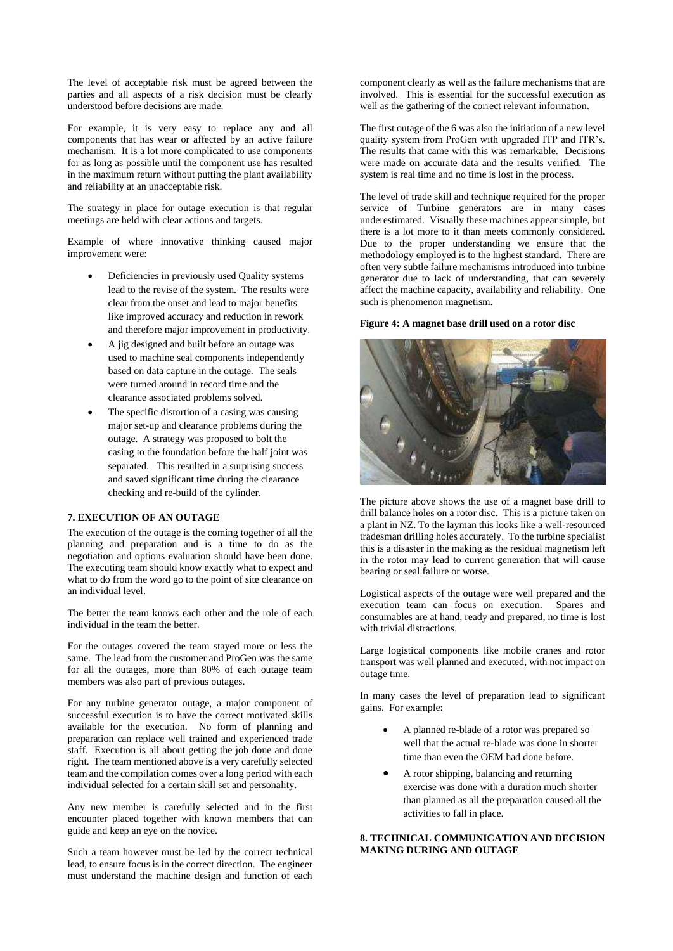The level of acceptable risk must be agreed between the parties and all aspects of a risk decision must be clearly understood before decisions are made.

For example, it is very easy to replace any and all components that has wear or affected by an active failure mechanism. It is a lot more complicated to use components for as long as possible until the component use has resulted in the maximum return without putting the plant availability and reliability at an unacceptable risk.

The strategy in place for outage execution is that regular meetings are held with clear actions and targets.

Example of where innovative thinking caused major improvement were:

- Deficiencies in previously used Quality systems lead to the revise of the system. The results were clear from the onset and lead to major benefits like improved accuracy and reduction in rework and therefore major improvement in productivity.
- A jig designed and built before an outage was used to machine seal components independently based on data capture in the outage. The seals were turned around in record time and the clearance associated problems solved.
- The specific distortion of a casing was causing major set-up and clearance problems during the outage. A strategy was proposed to bolt the casing to the foundation before the half joint was separated. This resulted in a surprising success and saved significant time during the clearance checking and re-build of the cylinder.

## **7. EXECUTION OF AN OUTAGE**

The execution of the outage is the coming together of all the planning and preparation and is a time to do as the negotiation and options evaluation should have been done. The executing team should know exactly what to expect and what to do from the word go to the point of site clearance on an individual level.

The better the team knows each other and the role of each individual in the team the better.

For the outages covered the team stayed more or less the same. The lead from the customer and ProGen was the same for all the outages, more than 80% of each outage team members was also part of previous outages.

For any turbine generator outage, a major component of successful execution is to have the correct motivated skills available for the execution. No form of planning and preparation can replace well trained and experienced trade staff. Execution is all about getting the job done and done right. The team mentioned above is a very carefully selected team and the compilation comes over a long period with each individual selected for a certain skill set and personality.

Any new member is carefully selected and in the first encounter placed together with known members that can guide and keep an eye on the novice.

Such a team however must be led by the correct technical lead, to ensure focus is in the correct direction. The engineer must understand the machine design and function of each

component clearly as well as the failure mechanisms that are involved. This is essential for the successful execution as well as the gathering of the correct relevant information.

The first outage of the 6 was also the initiation of a new level quality system from ProGen with upgraded ITP and ITR's. The results that came with this was remarkable. Decisions were made on accurate data and the results verified. The system is real time and no time is lost in the process.

The level of trade skill and technique required for the proper service of Turbine generators are in many cases underestimated. Visually these machines appear simple, but there is a lot more to it than meets commonly considered. Due to the proper understanding we ensure that the methodology employed is to the highest standard. There are often very subtle failure mechanisms introduced into turbine generator due to lack of understanding, that can severely affect the machine capacity, availability and reliability. One such is phenomenon magnetism.

#### **Figure 4: A magnet base drill used on a rotor disc**



The picture above shows the use of a magnet base drill to drill balance holes on a rotor disc. This is a picture taken on a plant in NZ. To the layman this looks like a well-resourced tradesman drilling holes accurately. To the turbine specialist this is a disaster in the making as the residual magnetism left in the rotor may lead to current generation that will cause bearing or seal failure or worse.

Logistical aspects of the outage were well prepared and the execution team can focus on execution. Spares and consumables are at hand, ready and prepared, no time is lost with trivial distractions.

Large logistical components like mobile cranes and rotor transport was well planned and executed, with not impact on outage time.

In many cases the level of preparation lead to significant gains. For example:

- A planned re-blade of a rotor was prepared so well that the actual re-blade was done in shorter time than even the OEM had done before.
- A rotor shipping, balancing and returning exercise was done with a duration much shorter than planned as all the preparation caused all the activities to fall in place.

## **8. TECHNICAL COMMUNICATION AND DECISION MAKING DURING AND OUTAGE**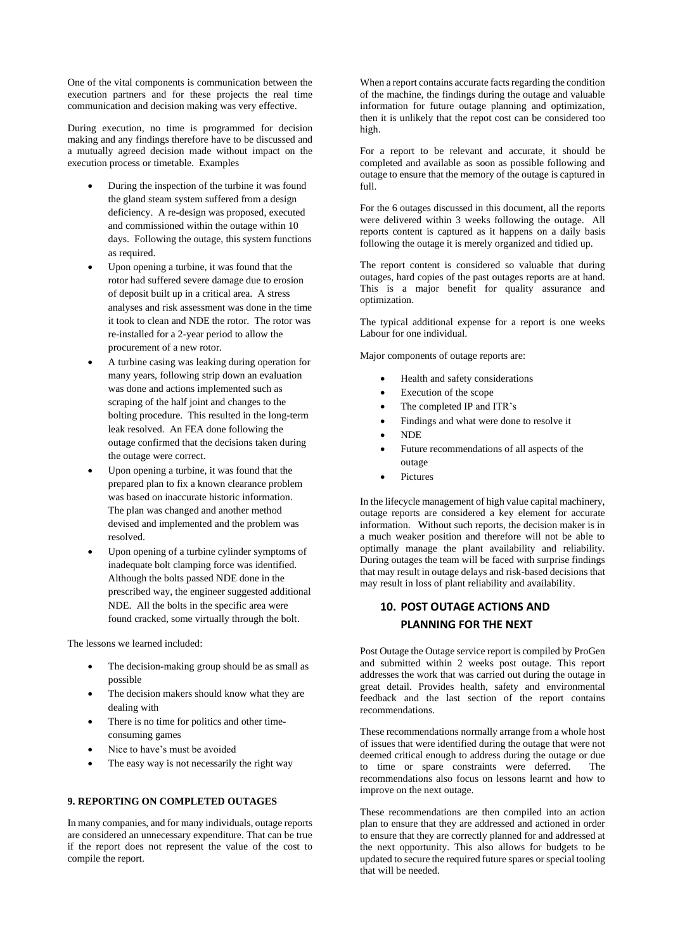One of the vital components is communication between the execution partners and for these projects the real time communication and decision making was very effective.

During execution, no time is programmed for decision making and any findings therefore have to be discussed and a mutually agreed decision made without impact on the execution process or timetable. Examples

- During the inspection of the turbine it was found the gland steam system suffered from a design deficiency. A re-design was proposed, executed and commissioned within the outage within 10 days. Following the outage, this system functions as required.
- Upon opening a turbine, it was found that the rotor had suffered severe damage due to erosion of deposit built up in a critical area. A stress analyses and risk assessment was done in the time it took to clean and NDE the rotor. The rotor was re-installed for a 2-year period to allow the procurement of a new rotor.
- A turbine casing was leaking during operation for many years, following strip down an evaluation was done and actions implemented such as scraping of the half joint and changes to the bolting procedure. This resulted in the long-term leak resolved. An FEA done following the outage confirmed that the decisions taken during the outage were correct.
- Upon opening a turbine, it was found that the prepared plan to fix a known clearance problem was based on inaccurate historic information. The plan was changed and another method devised and implemented and the problem was resolved.
- Upon opening of a turbine cylinder symptoms of inadequate bolt clamping force was identified. Although the bolts passed NDE done in the prescribed way, the engineer suggested additional NDE. All the bolts in the specific area were found cracked, some virtually through the bolt.

The lessons we learned included:

- The decision-making group should be as small as possible
- The decision makers should know what they are dealing with
- There is no time for politics and other timeconsuming games
- Nice to have's must be avoided
- The easy way is not necessarily the right way

## **9. REPORTING ON COMPLETED OUTAGES**

In many companies, and for many individuals, outage reports are considered an unnecessary expenditure. That can be true if the report does not represent the value of the cost to compile the report.

When a report contains accurate facts regarding the condition of the machine, the findings during the outage and valuable information for future outage planning and optimization, then it is unlikely that the repot cost can be considered too high.

For a report to be relevant and accurate, it should be completed and available as soon as possible following and outage to ensure that the memory of the outage is captured in full.

For the 6 outages discussed in this document, all the reports were delivered within 3 weeks following the outage. All reports content is captured as it happens on a daily basis following the outage it is merely organized and tidied up.

The report content is considered so valuable that during outages, hard copies of the past outages reports are at hand. This is a major benefit for quality assurance and optimization.

The typical additional expense for a report is one weeks Labour for one individual.

Major components of outage reports are:

- Health and safety considerations
- Execution of the scope
- The completed IP and ITR's
- Findings and what were done to resolve it
- NDE
- Future recommendations of all aspects of the outage
- Pictures

In the lifecycle management of high value capital machinery, outage reports are considered a key element for accurate information. Without such reports, the decision maker is in a much weaker position and therefore will not be able to optimally manage the plant availability and reliability. During outages the team will be faced with surprise findings that may result in outage delays and risk-based decisions that may result in loss of plant reliability and availability.

# **10. POST OUTAGE ACTIONS AND PLANNING FOR THE NEXT**

Post Outage the Outage service report is compiled by ProGen and submitted within 2 weeks post outage. This report addresses the work that was carried out during the outage in great detail. Provides health, safety and environmental feedback and the last section of the report contains recommendations.

These recommendations normally arrange from a whole host of issues that were identified during the outage that were not deemed critical enough to address during the outage or due to time or spare constraints were deferred. The recommendations also focus on lessons learnt and how to improve on the next outage.

These recommendations are then compiled into an action plan to ensure that they are addressed and actioned in order to ensure that they are correctly planned for and addressed at the next opportunity. This also allows for budgets to be updated to secure the required future spares or special tooling that will be needed.